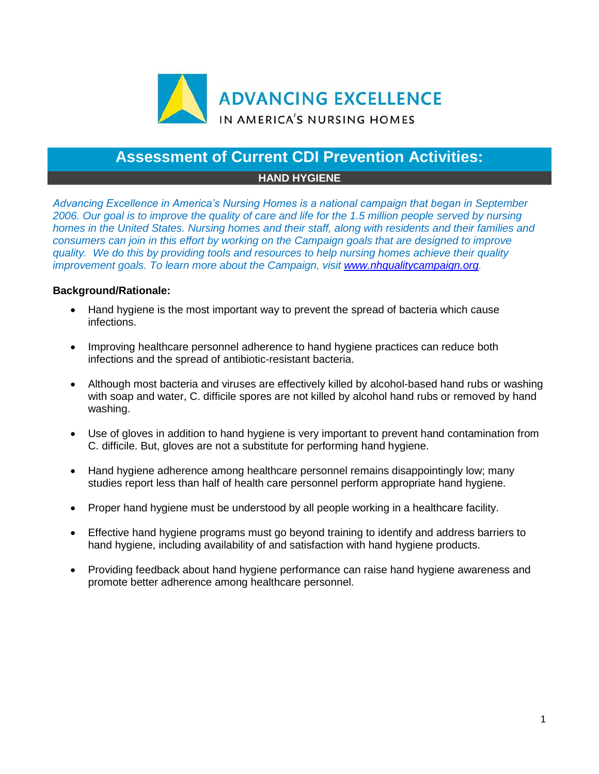

## **Assessment of Current CDI Prevention Activities:**

## **HAND HYGIENE**

*Advancing Excellence in America's Nursing Homes is a national campaign that began in September 2006. Our goal is to improve the quality of care and life for the 1.5 million people served by nursing homes in the United States. Nursing homes and their staff, along with residents and their families and consumers can join in this effort by working on the Campaign goals that are designed to improve quality. We do this by providing tools and resources to help nursing homes achieve their quality improvement goals. To learn more about the Campaign, visit [www.nhqualitycampaign.org.](https://www.nhqualitycampaign.org/)*

## **Background/Rationale:**

- Hand hygiene is the most important way to prevent the spread of bacteria which cause infections.
- Improving healthcare personnel adherence to hand hygiene practices can reduce both infections and the spread of antibiotic-resistant bacteria.
- Although most bacteria and viruses are effectively killed by alcohol-based hand rubs or washing with soap and water, C. difficile spores are not killed by alcohol hand rubs or removed by hand washing.
- Use of gloves in addition to hand hygiene is very important to prevent hand contamination from C. difficile. But, gloves are not a substitute for performing hand hygiene.
- Hand hygiene adherence among healthcare personnel remains disappointingly low; many studies report less than half of health care personnel perform appropriate hand hygiene.
- Proper hand hygiene must be understood by all people working in a healthcare facility.
- Effective hand hygiene programs must go beyond training to identify and address barriers to hand hygiene, including availability of and satisfaction with hand hygiene products.
- Providing feedback about hand hygiene performance can raise hand hygiene awareness and promote better adherence among healthcare personnel.